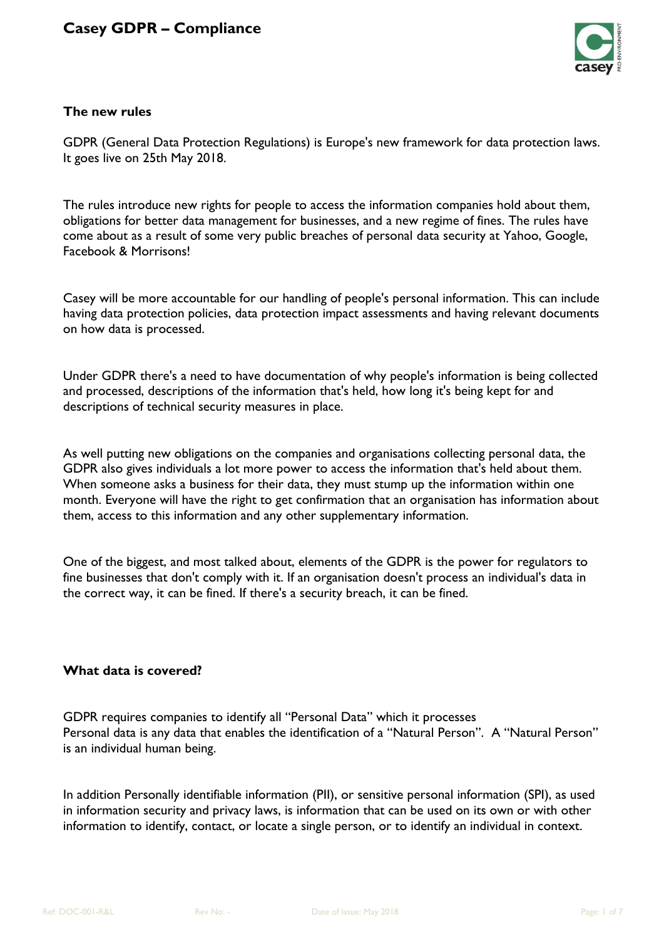

## **The new rules**

GDPR (General Data Protection Regulations) is Europe's new framework for data protection laws. It goes live on 25th May 2018.

The rules introduce new rights for people to access the information companies hold about them, obligations for better data management for businesses, and a new regime of fines. The rules have come about as a result of some very public breaches of personal data security at Yahoo, Google, Facebook & Morrisons!

Casey will be more accountable for our handling of people's personal information. This can include having data protection policies, data protection impact assessments and having relevant documents on how data is processed.

Under GDPR there's a need to have documentation of why people's information is being collected and processed, descriptions of the information that's held, how long it's being kept for and descriptions of technical security measures in place.

As well putting new obligations on the companies and organisations collecting personal data, the GDPR also gives individuals a lot more power to access the information that's held about them. When someone asks a business for their data, they must stump up the information within one month. Everyone will have the right to get confirmation that an organisation has information about them, access to this information and any other supplementary information.

One of the biggest, and most talked about, elements of the GDPR is the power for regulators to fine businesses that don't comply with it. If an organisation doesn't process an individual's data in the correct way, it can be fined. If there's a security breach, it can be fined.

## **What data is covered?**

GDPR requires companies to identify all "Personal Data" which it processes Personal data is any data that enables the identification of a "Natural Person". A "Natural Person" is an individual human being.

In addition Personally identifiable information (PII), or sensitive personal information (SPI), as used in information security and privacy laws, is information that can be used on its own or with other information to identify, contact, or locate a single person, or to identify an individual in context.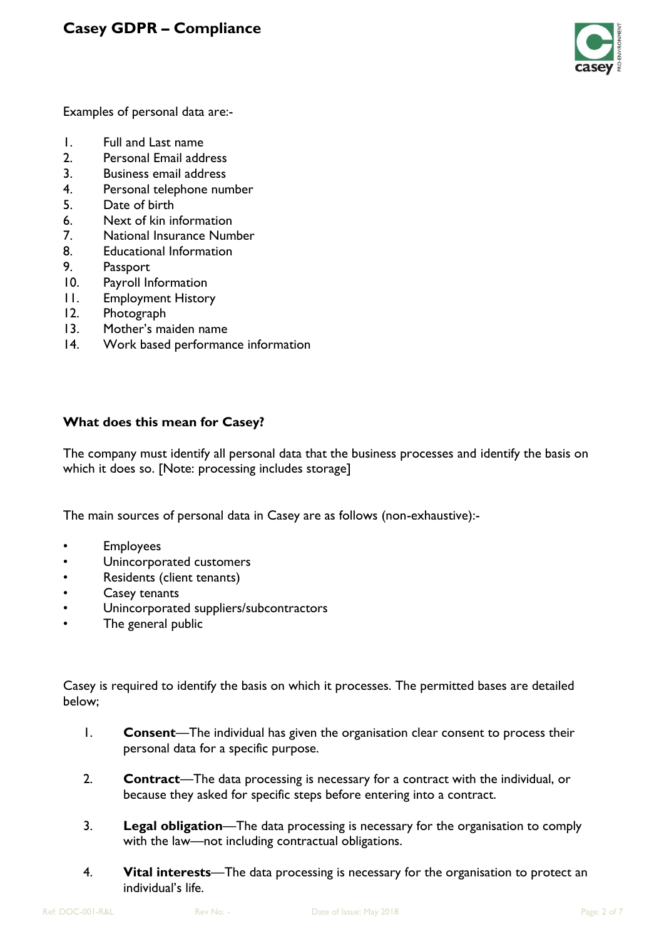

Examples of personal data are:-

- 1. Full and Last name
- 2. Personal Email address
- 3. Business email address
- 4. Personal telephone number
- 5. Date of birth
- 6. Next of kin information
- 7. National Insurance Number
- 8. Educational Information
- 9. Passport
- 10. Payroll Information
- 11. Employment History
- 12. Photograph
- 13. Mother's maiden name
- 14. Work based performance information

## **What does this mean for Casey?**

The company must identify all personal data that the business processes and identify the basis on which it does so. [Note: processing includes storage]

The main sources of personal data in Casey are as follows (non-exhaustive):-

- Employees
- Unincorporated customers
- Residents (client tenants)
- Casey tenants
- Unincorporated suppliers/subcontractors
- The general public

Casey is required to identify the basis on which it processes. The permitted bases are detailed below;

- 1. **Consent**—The individual has given the organisation clear consent to process their personal data for a specific purpose.
- 2. **Contract**—The data processing is necessary for a contract with the individual, or because they asked for specific steps before entering into a contract.
- 3. **Legal obligation**—The data processing is necessary for the organisation to comply with the law—not including contractual obligations.
- 4. **Vital interests**—The data processing is necessary for the organisation to protect an individual's life.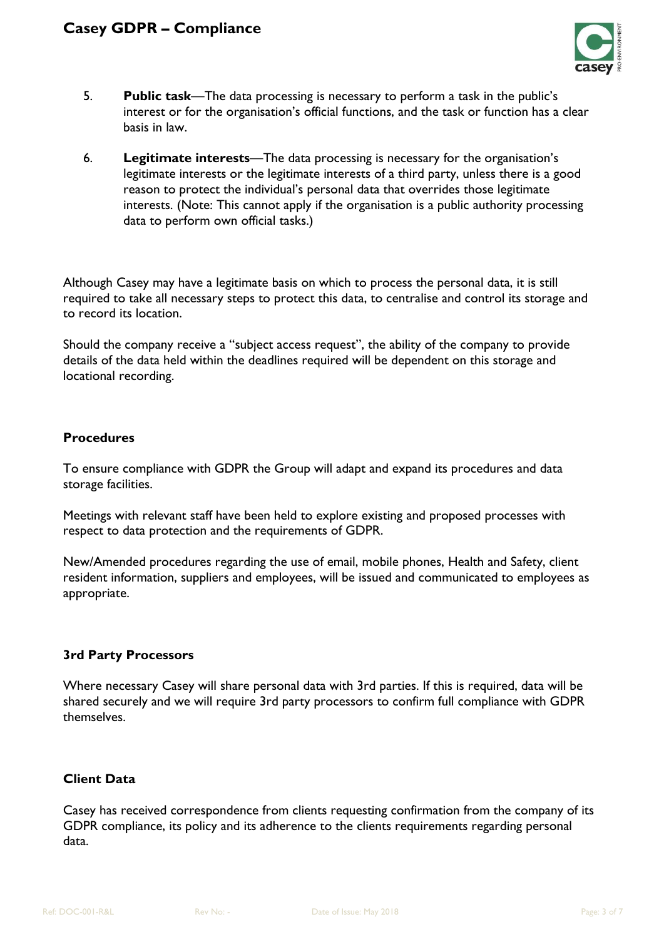

- 5. **Public task**—The data processing is necessary to perform a task in the public's interest or for the organisation's official functions, and the task or function has a clear basis in law.
- 6. **Legitimate interests**—The data processing is necessary for the organisation's legitimate interests or the legitimate interests of a third party, unless there is a good reason to protect the individual's personal data that overrides those legitimate interests. (Note: This cannot apply if the organisation is a public authority processing data to perform own official tasks.)

Although Casey may have a legitimate basis on which to process the personal data, it is still required to take all necessary steps to protect this data, to centralise and control its storage and to record its location.

Should the company receive a "subject access request", the ability of the company to provide details of the data held within the deadlines required will be dependent on this storage and locational recording.

#### **Procedures**

To ensure compliance with GDPR the Group will adapt and expand its procedures and data storage facilities.

Meetings with relevant staff have been held to explore existing and proposed processes with respect to data protection and the requirements of GDPR.

New/Amended procedures regarding the use of email, mobile phones, Health and Safety, client resident information, suppliers and employees, will be issued and communicated to employees as appropriate.

## **3rd Party Processors**

Where necessary Casey will share personal data with 3rd parties. If this is required, data will be shared securely and we will require 3rd party processors to confirm full compliance with GDPR themselves.

## **Client Data**

Casey has received correspondence from clients requesting confirmation from the company of its GDPR compliance, its policy and its adherence to the clients requirements regarding personal data.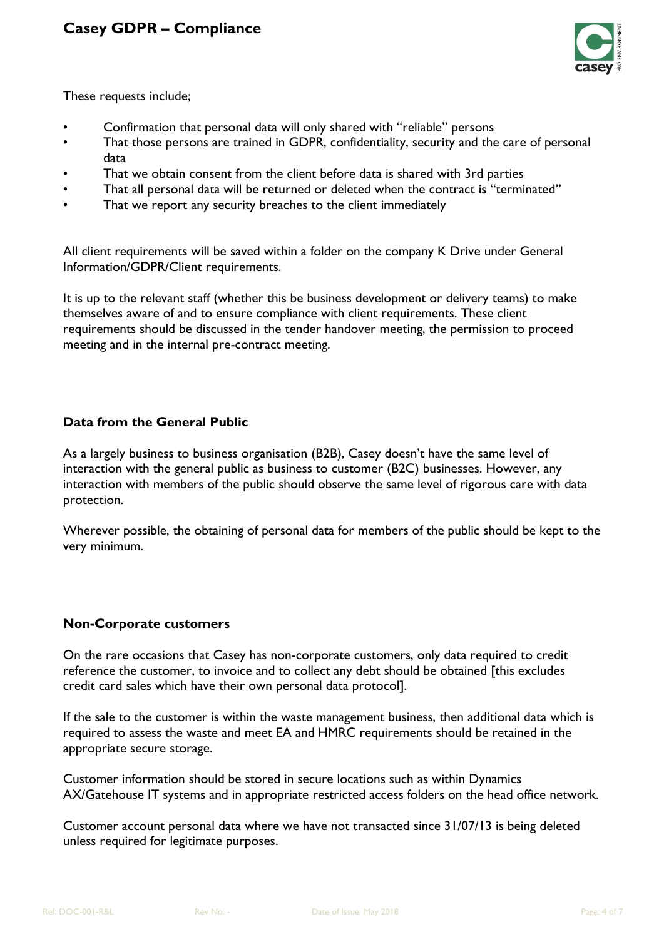

These requests include;

- Confirmation that personal data will only shared with "reliable" persons
- That those persons are trained in GDPR, confidentiality, security and the care of personal data
- That we obtain consent from the client before data is shared with 3rd parties
- That all personal data will be returned or deleted when the contract is "terminated"
- That we report any security breaches to the client immediately

All client requirements will be saved within a folder on the company K Drive under General Information/GDPR/Client requirements.

It is up to the relevant staff (whether this be business development or delivery teams) to make themselves aware of and to ensure compliance with client requirements. These client requirements should be discussed in the tender handover meeting, the permission to proceed meeting and in the internal pre-contract meeting.

## **Data from the General Public**

As a largely business to business organisation (B2B), Casey doesn't have the same level of interaction with the general public as business to customer (B2C) businesses. However, any interaction with members of the public should observe the same level of rigorous care with data protection.

Wherever possible, the obtaining of personal data for members of the public should be kept to the very minimum.

#### **Non-Corporate customers**

On the rare occasions that Casey has non-corporate customers, only data required to credit reference the customer, to invoice and to collect any debt should be obtained [this excludes credit card sales which have their own personal data protocol].

If the sale to the customer is within the waste management business, then additional data which is required to assess the waste and meet EA and HMRC requirements should be retained in the appropriate secure storage.

Customer information should be stored in secure locations such as within Dynamics AX/Gatehouse IT systems and in appropriate restricted access folders on the head office network.

Customer account personal data where we have not transacted since 31/07/13 is being deleted unless required for legitimate purposes.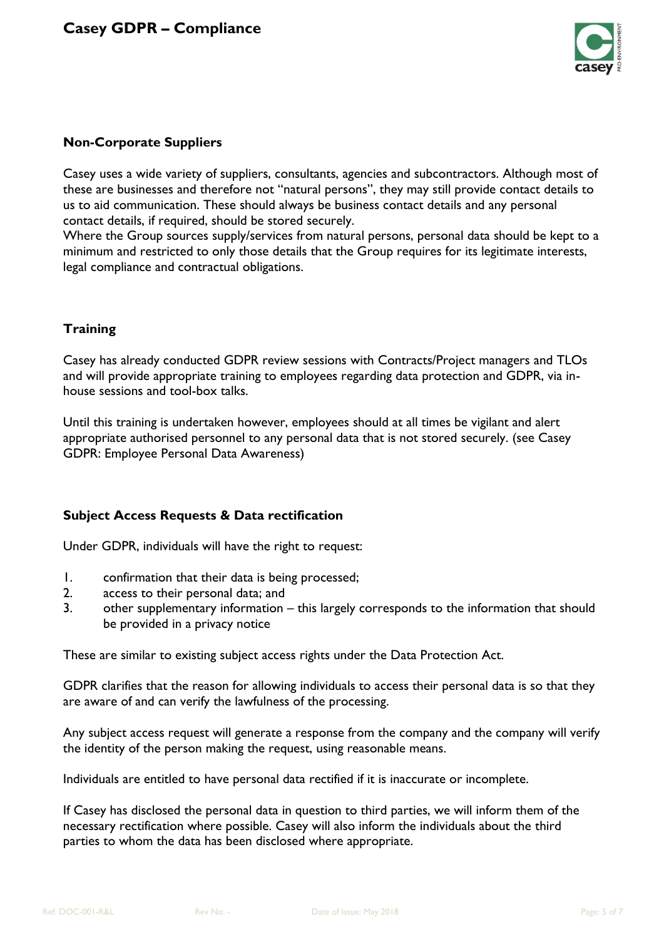

### **Non-Corporate Suppliers**

Casey uses a wide variety of suppliers, consultants, agencies and subcontractors. Although most of these are businesses and therefore not "natural persons", they may still provide contact details to us to aid communication. These should always be business contact details and any personal contact details, if required, should be stored securely.

Where the Group sources supply/services from natural persons, personal data should be kept to a minimum and restricted to only those details that the Group requires for its legitimate interests, legal compliance and contractual obligations.

### **Training**

Casey has already conducted GDPR review sessions with Contracts/Project managers and TLOs and will provide appropriate training to employees regarding data protection and GDPR, via inhouse sessions and tool-box talks.

Until this training is undertaken however, employees should at all times be vigilant and alert appropriate authorised personnel to any personal data that is not stored securely. (see Casey GDPR: Employee Personal Data Awareness)

## **Subject Access Requests & Data rectification**

Under GDPR, individuals will have the right to request:

- 1. confirmation that their data is being processed;
- 2. access to their personal data; and
- 3. other supplementary information this largely corresponds to the information that should be provided in a privacy notice

These are similar to existing subject access rights under the Data Protection Act.

GDPR clarifies that the reason for allowing individuals to access their personal data is so that they are aware of and can verify the lawfulness of the processing.

Any subject access request will generate a response from the company and the company will verify the identity of the person making the request, using reasonable means.

Individuals are entitled to have personal data rectified if it is inaccurate or incomplete.

If Casey has disclosed the personal data in question to third parties, we will inform them of the necessary rectification where possible. Casey will also inform the individuals about the third parties to whom the data has been disclosed where appropriate.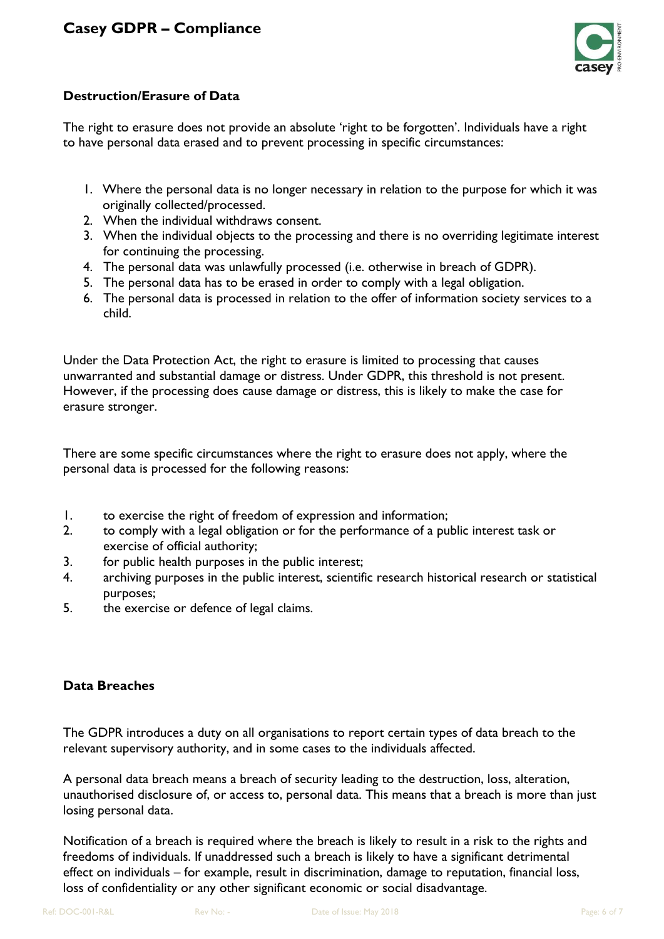

## **Destruction/Erasure of Data**

The right to erasure does not provide an absolute 'right to be forgotten'. Individuals have a right to have personal data erased and to prevent processing in specific circumstances:

- 1. Where the personal data is no longer necessary in relation to the purpose for which it was originally collected/processed.
- 2. When the individual withdraws consent.
- 3. When the individual objects to the processing and there is no overriding legitimate interest for continuing the processing.
- 4. The personal data was unlawfully processed (i.e. otherwise in breach of GDPR).
- 5. The personal data has to be erased in order to comply with a legal obligation.
- 6. The personal data is processed in relation to the offer of information society services to a child.

Under the Data Protection Act, the right to erasure is limited to processing that causes unwarranted and substantial damage or distress. Under GDPR, this threshold is not present. However, if the processing does cause damage or distress, this is likely to make the case for erasure stronger.

There are some specific circumstances where the right to erasure does not apply, where the personal data is processed for the following reasons:

- 1. to exercise the right of freedom of expression and information;
- 2. to comply with a legal obligation or for the performance of a public interest task or exercise of official authority;
- 3. for public health purposes in the public interest;
- 4. archiving purposes in the public interest, scientific research historical research or statistical purposes;
- 5. the exercise or defence of legal claims.

## **Data Breaches**

The GDPR introduces a duty on all organisations to report certain types of data breach to the relevant supervisory authority, and in some cases to the individuals affected.

A personal data breach means a breach of security leading to the destruction, loss, alteration, unauthorised disclosure of, or access to, personal data. This means that a breach is more than just losing personal data.

Notification of a breach is required where the breach is likely to result in a risk to the rights and freedoms of individuals. If unaddressed such a breach is likely to have a significant detrimental effect on individuals – for example, result in discrimination, damage to reputation, financial loss, loss of confidentiality or any other significant economic or social disadvantage.